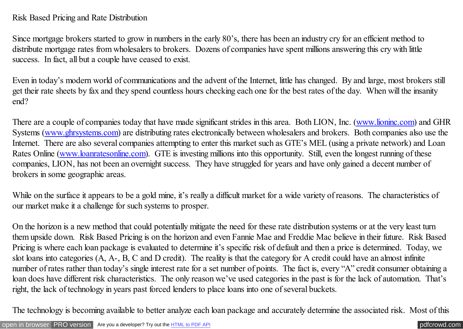## Risk Based Pricing and Rate Distribution

Since mortgage brokers started to grow in numbers in the early 80's, there has been an industry cry for an efficient method to distribute mortgage rates from wholesalers to brokers. Dozens of companies have spent millions answering this cry with little success. In fact, all but a couple have ceased to exist.

Even in today's modern world of communications and the advent of the Internet, little has changed. By and large, most brokers still get their rate sheets by fax and they spend countless hours checking each one for the best rates of the day. When will the insanity end?

There are a couple of companies today that have made significant strides in this area. Both LION, Inc. [\(www.lioninc.com\)](http://www.loaninc.com/) and GHR Systems [\(www.ghrsystems.com\)](http://www.ghrsystems.com/???/) are distributing rates electronically between wholesalers and brokers. Both companies also use the Internet. There are also several companies attempting to enter this market such as GTE's MEL (using a private network) and Loan Rates Online [\(www.loanratesonline.com\)](http://www.loanratesonline.com)/). GTE is investing millions into this opportunity. Still, even the longest running of these companies, LION, has not been an overnight success. They have struggled for years and have only gained a decent number of brokers in some geographic areas.

While on the surface it appears to be a gold mine, it's really a difficult market for a wide variety of reasons. The characteristics of our market make it a challenge for such systems to prosper.

On the horizon is a new method that could potentially mitigate the need for these rate distribution systems or at the very least turn them upside down. Risk Based Pricing is on the horizon and even Fannie Mae and Freddie Mac believe in their future. Risk Based Pricing is where each loan package is evaluated to determine it's specific risk of default and then a price is determined. Today, we slot loans into categories (A, A-, B, C and D credit). The reality is that the category for A credit could have an almost infinite number of rates rather than today's single interest rate for a set number of points. The fact is, every "A" credit consumer obtaining a loan does have different risk characteristics. The only reason we've used categories in the past is for the lack of automation. That's right, the lack of technology in years past forced lenders to place loans into one of several buckets.

The technology is becoming available to better analyze each loan package and accurately determine the associated risk. Most of this